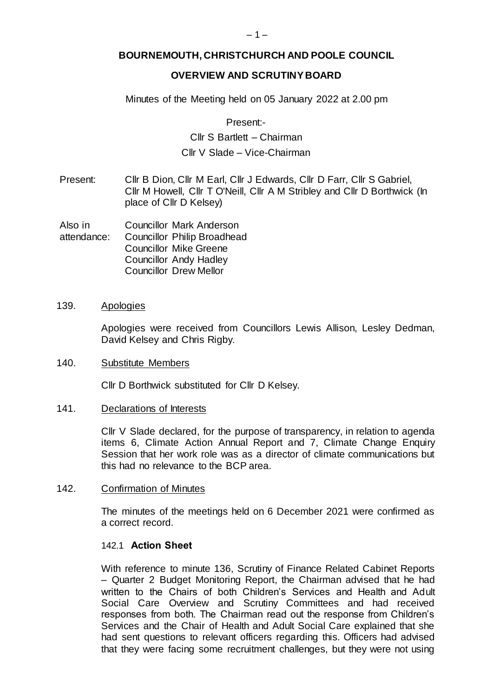# **BOURNEMOUTH, CHRISTCHURCH AND POOLE COUNCIL**

## **OVERVIEW AND SCRUTINY BOARD**

Minutes of the Meeting held on 05 January 2022 at 2.00 pm

Present:-

# Cllr S Bartlett – Chairman Cllr V Slade – Vice-Chairman

Present: Cllr B Dion, Cllr M Earl, Cllr J Edwards, Cllr D Farr, Cllr S Gabriel, Cllr M Howell, Cllr T O'Neill, Cllr A M Stribley and Cllr D Borthwick (In place of Cllr D Kelsey)

Also in attendance: Councillor Mark Anderson Councillor Philip Broadhead Councillor Mike Greene Councillor Andy Hadley Councillor Drew Mellor

### 139. Apologies

Apologies were received from Councillors Lewis Allison, Lesley Dedman, David Kelsey and Chris Rigby.

#### 140. Substitute Members

Cllr D Borthwick substituted for Cllr D Kelsey.

#### 141. Declarations of Interests

Cllr V Slade declared, for the purpose of transparency, in relation to agenda items 6, Climate Action Annual Report and 7, Climate Change Enquiry Session that her work role was as a director of climate communications but this had no relevance to the BCP area.

#### 142. Confirmation of Minutes

The minutes of the meetings held on 6 December 2021 were confirmed as a correct record.

#### 142.1 **Action Sheet**

With reference to minute 136, Scrutiny of Finance Related Cabinet Reports – Quarter 2 Budget Monitoring Report, the Chairman advised that he had written to the Chairs of both Children's Services and Health and Adult Social Care Overview and Scrutiny Committees and had received responses from both. The Chairman read out the response from Children's Services and the Chair of Health and Adult Social Care explained that she had sent questions to relevant officers regarding this. Officers had advised that they were facing some recruitment challenges, but they were not using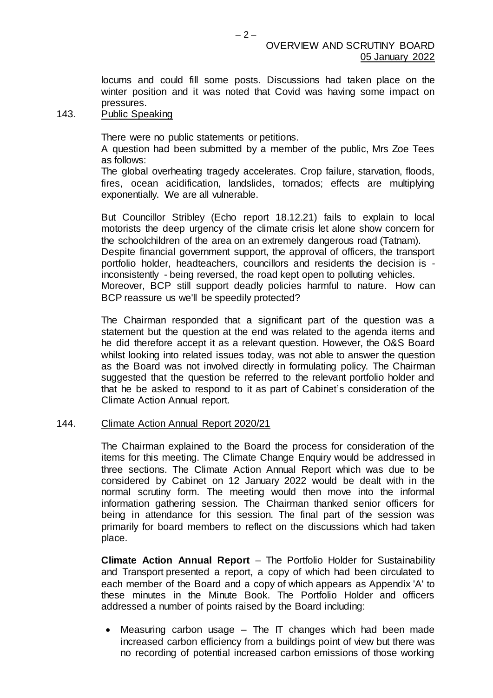locums and could fill some posts. Discussions had taken place on the winter position and it was noted that Covid was having some impact on pressures.

## 143. Public Speaking

There were no public statements or petitions.

A question had been submitted by a member of the public, Mrs Zoe Tees as follows:

The global overheating tragedy accelerates. Crop failure, starvation, floods, fires, ocean acidification, landslides, tornados; effects are multiplying exponentially. We are all vulnerable.

But Councillor Stribley (Echo report 18.12.21) fails to explain to local motorists the deep urgency of the climate crisis let alone show concern for the schoolchildren of the area on an extremely dangerous road (Tatnam). Despite financial government support, the approval of officers, the transport portfolio holder, headteachers, councillors and residents the decision is inconsistently - being reversed, the road kept open to polluting vehicles. Moreover, BCP still support deadly policies harmful to nature. How can BCP reassure us we'll be speedily protected?

The Chairman responded that a significant part of the question was a statement but the question at the end was related to the agenda items and he did therefore accept it as a relevant question. However, the O&S Board whilst looking into related issues today, was not able to answer the question as the Board was not involved directly in formulating policy. The Chairman suggested that the question be referred to the relevant portfolio holder and that he be asked to respond to it as part of Cabinet's consideration of the Climate Action Annual report.

# 144. Climate Action Annual Report 2020/21

The Chairman explained to the Board the process for consideration of the items for this meeting. The Climate Change Enquiry would be addressed in three sections. The Climate Action Annual Report which was due to be considered by Cabinet on 12 January 2022 would be dealt with in the normal scrutiny form. The meeting would then move into the informal information gathering session. The Chairman thanked senior officers for being in attendance for this session. The final part of the session was primarily for board members to reflect on the discussions which had taken place.

**Climate Action Annual Report** – The Portfolio Holder for Sustainability and Transport presented a report, a copy of which had been circulated to each member of the Board and a copy of which appears as Appendix 'A' to these minutes in the Minute Book. The Portfolio Holder and officers addressed a number of points raised by the Board including:

Measuring carbon usage  $-$  The IT changes which had been made increased carbon efficiency from a buildings point of view but there was no recording of potential increased carbon emissions of those working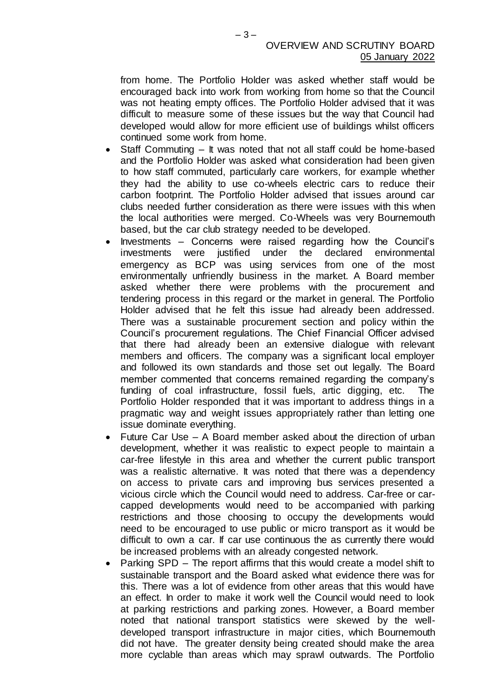from home. The Portfolio Holder was asked whether staff would be encouraged back into work from working from home so that the Council was not heating empty offices. The Portfolio Holder advised that it was difficult to measure some of these issues but the way that Council had developed would allow for more efficient use of buildings whilst officers continued some work from home.

- Staff Commuting It was noted that not all staff could be home-based and the Portfolio Holder was asked what consideration had been given to how staff commuted, particularly care workers, for example whether they had the ability to use co-wheels electric cars to reduce their carbon footprint. The Portfolio Holder advised that issues around car clubs needed further consideration as there were issues with this when the local authorities were merged. Co-Wheels was very Bournemouth based, but the car club strategy needed to be developed.
- Investments Concerns were raised regarding how the Council's investments were justified under the declared environmental emergency as BCP was using services from one of the most environmentally unfriendly business in the market. A Board member asked whether there were problems with the procurement and tendering process in this regard or the market in general. The Portfolio Holder advised that he felt this issue had already been addressed. There was a sustainable procurement section and policy within the Council's procurement regulations. The Chief Financial Officer advised that there had already been an extensive dialogue with relevant members and officers. The company was a significant local employer and followed its own standards and those set out legally. The Board member commented that concerns remained regarding the company's funding of coal infrastructure, fossil fuels, artic digging, etc. The Portfolio Holder responded that it was important to address things in a pragmatic way and weight issues appropriately rather than letting one issue dominate everything.
- Future Car Use A Board member asked about the direction of urban development, whether it was realistic to expect people to maintain a car-free lifestyle in this area and whether the current public transport was a realistic alternative. It was noted that there was a dependency on access to private cars and improving bus services presented a vicious circle which the Council would need to address. Car-free or carcapped developments would need to be accompanied with parking restrictions and those choosing to occupy the developments would need to be encouraged to use public or micro transport as it would be difficult to own a car. If car use continuous the as currently there would be increased problems with an already congested network.
- Parking SPD The report affirms that this would create a model shift to sustainable transport and the Board asked what evidence there was for this. There was a lot of evidence from other areas that this would have an effect. In order to make it work well the Council would need to look at parking restrictions and parking zones. However, a Board member noted that national transport statistics were skewed by the welldeveloped transport infrastructure in major cities, which Bournemouth did not have. The greater density being created should make the area more cyclable than areas which may sprawl outwards. The Portfolio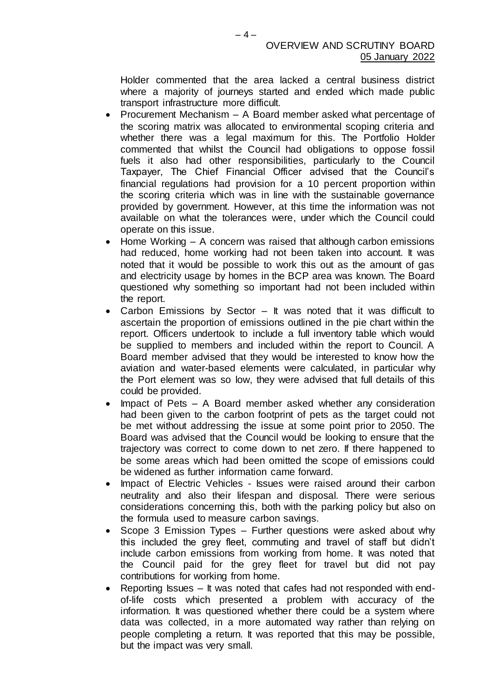Holder commented that the area lacked a central business district where a majority of journeys started and ended which made public transport infrastructure more difficult.

- Procurement Mechanism A Board member asked what percentage of the scoring matrix was allocated to environmental scoping criteria and whether there was a legal maximum for this. The Portfolio Holder commented that whilst the Council had obligations to oppose fossil fuels it also had other responsibilities, particularly to the Council Taxpayer, The Chief Financial Officer advised that the Council's financial regulations had provision for a 10 percent proportion within the scoring criteria which was in line with the sustainable governance provided by government. However, at this time the information was not available on what the tolerances were, under which the Council could operate on this issue.
- Home Working A concern was raised that although carbon emissions had reduced, home working had not been taken into account. It was noted that it would be possible to work this out as the amount of gas and electricity usage by homes in the BCP area was known. The Board questioned why something so important had not been included within the report.
- Carbon Emissions by Sector It was noted that it was difficult to ascertain the proportion of emissions outlined in the pie chart within the report. Officers undertook to include a full inventory table which would be supplied to members and included within the report to Council. A Board member advised that they would be interested to know how the aviation and water-based elements were calculated, in particular why the Port element was so low, they were advised that full details of this could be provided.
- Impact of Pets A Board member asked whether any consideration had been given to the carbon footprint of pets as the target could not be met without addressing the issue at some point prior to 2050. The Board was advised that the Council would be looking to ensure that the trajectory was correct to come down to net zero. If there happened to be some areas which had been omitted the scope of emissions could be widened as further information came forward.
- Impact of Electric Vehicles Issues were raised around their carbon neutrality and also their lifespan and disposal. There were serious considerations concerning this, both with the parking policy but also on the formula used to measure carbon savings.
- Scope 3 Emission Types Further questions were asked about why this included the grey fleet, commuting and travel of staff but didn't include carbon emissions from working from home. It was noted that the Council paid for the grey fleet for travel but did not pay contributions for working from home.
- Reporting Issues It was noted that cafes had not responded with endof-life costs which presented a problem with accuracy of the information. It was questioned whether there could be a system where data was collected, in a more automated way rather than relying on people completing a return. It was reported that this may be possible, but the impact was very small.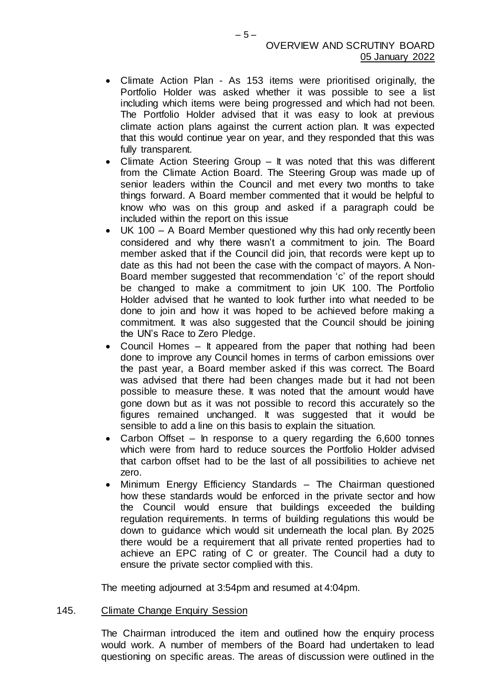- Climate Action Plan As 153 items were prioritised originally, the Portfolio Holder was asked whether it was possible to see a list including which items were being progressed and which had not been. The Portfolio Holder advised that it was easy to look at previous climate action plans against the current action plan. It was expected that this would continue year on year, and they responded that this was fully transparent.
- Climate Action Steering Group It was noted that this was different from the Climate Action Board. The Steering Group was made up of senior leaders within the Council and met every two months to take things forward. A Board member commented that it would be helpful to know who was on this group and asked if a paragraph could be included within the report on this issue
- UK 100 A Board Member questioned why this had only recently been considered and why there wasn't a commitment to join. The Board member asked that if the Council did join, that records were kept up to date as this had not been the case with the compact of mayors. A Non-Board member suggested that recommendation 'c' of the report should be changed to make a commitment to join UK 100. The Portfolio Holder advised that he wanted to look further into what needed to be done to join and how it was hoped to be achieved before making a commitment. It was also suggested that the Council should be joining the UN's Race to Zero Pledge.
- Council Homes It appeared from the paper that nothing had been done to improve any Council homes in terms of carbon emissions over the past year, a Board member asked if this was correct. The Board was advised that there had been changes made but it had not been possible to measure these. It was noted that the amount would have gone down but as it was not possible to record this accurately so the figures remained unchanged. It was suggested that it would be sensible to add a line on this basis to explain the situation.
- Carbon Offset In response to a query regarding the 6,600 tonnes which were from hard to reduce sources the Portfolio Holder advised that carbon offset had to be the last of all possibilities to achieve net zero.
- Minimum Energy Efficiency Standards The Chairman questioned how these standards would be enforced in the private sector and how the Council would ensure that buildings exceeded the building regulation requirements. In terms of building regulations this would be down to guidance which would sit underneath the local plan. By 2025 there would be a requirement that all private rented properties had to achieve an EPC rating of C or greater. The Council had a duty to ensure the private sector complied with this.

The meeting adjourned at 3:54pm and resumed at 4:04pm.

## 145. Climate Change Enquiry Session

The Chairman introduced the item and outlined how the enquiry process would work. A number of members of the Board had undertaken to lead questioning on specific areas. The areas of discussion were outlined in the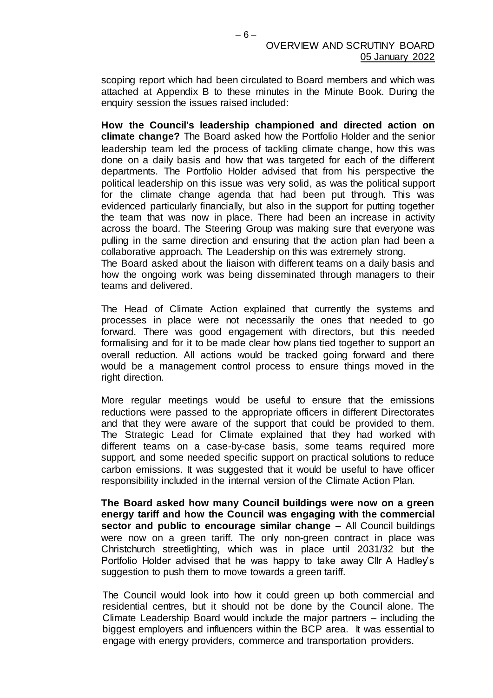scoping report which had been circulated to Board members and which was attached at Appendix B to these minutes in the Minute Book. During the enquiry session the issues raised included:

**How the Council's leadership championed and directed action on climate change?** The Board asked how the Portfolio Holder and the senior leadership team led the process of tackling climate change, how this was done on a daily basis and how that was targeted for each of the different departments. The Portfolio Holder advised that from his perspective the political leadership on this issue was very solid, as was the political support for the climate change agenda that had been put through. This was evidenced particularly financially, but also in the support for putting together the team that was now in place. There had been an increase in activity across the board. The Steering Group was making sure that everyone was pulling in the same direction and ensuring that the action plan had been a collaborative approach. The Leadership on this was extremely strong.

The Board asked about the liaison with different teams on a daily basis and how the ongoing work was being disseminated through managers to their teams and delivered.

The Head of Climate Action explained that currently the systems and processes in place were not necessarily the ones that needed to go forward. There was good engagement with directors, but this needed formalising and for it to be made clear how plans tied together to support an overall reduction. All actions would be tracked going forward and there would be a management control process to ensure things moved in the right direction.

More regular meetings would be useful to ensure that the emissions reductions were passed to the appropriate officers in different Directorates and that they were aware of the support that could be provided to them. The Strategic Lead for Climate explained that they had worked with different teams on a case-by-case basis, some teams required more support, and some needed specific support on practical solutions to reduce carbon emissions. It was suggested that it would be useful to have officer responsibility included in the internal version of the Climate Action Plan.

**The Board asked how many Council buildings were now on a green energy tariff and how the Council was engaging with the commercial sector and public to encourage similar change** – All Council buildings were now on a green tariff. The only non-green contract in place was Christchurch streetlighting, which was in place until 2031/32 but the Portfolio Holder advised that he was happy to take away Cllr A Hadley's suggestion to push them to move towards a green tariff.

The Council would look into how it could green up both commercial and residential centres, but it should not be done by the Council alone. The Climate Leadership Board would include the major partners – including the biggest employers and influencers within the BCP area. It was essential to engage with energy providers, commerce and transportation providers.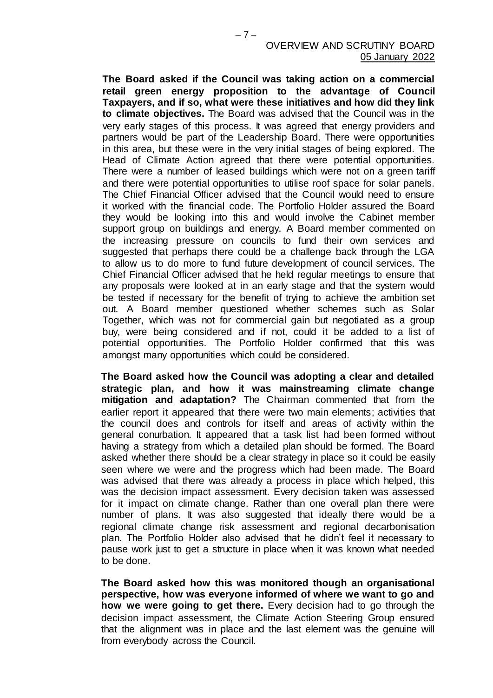**The Board asked if the Council was taking action on a commercial retail green energy proposition to the advantage of Council Taxpayers, and if so, what were these initiatives and how did they link to climate objectives.** The Board was advised that the Council was in the very early stages of this process. It was agreed that energy providers and partners would be part of the Leadership Board. There were opportunities in this area, but these were in the very initial stages of being explored. The Head of Climate Action agreed that there were potential opportunities. There were a number of leased buildings which were not on a green tariff and there were potential opportunities to utilise roof space for solar panels. The Chief Financial Officer advised that the Council would need to ensure it worked with the financial code. The Portfolio Holder assured the Board they would be looking into this and would involve the Cabinet member support group on buildings and energy. A Board member commented on the increasing pressure on councils to fund their own services and suggested that perhaps there could be a challenge back through the LGA to allow us to do more to fund future development of council services. The Chief Financial Officer advised that he held regular meetings to ensure that any proposals were looked at in an early stage and that the system would be tested if necessary for the benefit of trying to achieve the ambition set out. A Board member questioned whether schemes such as Solar Together, which was not for commercial gain but negotiated as a group buy, were being considered and if not, could it be added to a list of potential opportunities. The Portfolio Holder confirmed that this was amongst many opportunities which could be considered.

**The Board asked how the Council was adopting a clear and detailed strategic plan, and how it was mainstreaming climate change mitigation and adaptation?** The Chairman commented that from the earlier report it appeared that there were two main elements; activities that the council does and controls for itself and areas of activity within the general conurbation. It appeared that a task list had been formed without having a strategy from which a detailed plan should be formed. The Board asked whether there should be a clear strategy in place so it could be easily seen where we were and the progress which had been made. The Board was advised that there was already a process in place which helped, this was the decision impact assessment. Every decision taken was assessed for it impact on climate change. Rather than one overall plan there were number of plans. It was also suggested that ideally there would be a regional climate change risk assessment and regional decarbonisation plan. The Portfolio Holder also advised that he didn't feel it necessary to pause work just to get a structure in place when it was known what needed to be done.

**The Board asked how this was monitored though an organisational perspective, how was everyone informed of where we want to go and how we were going to get there.** Every decision had to go through the decision impact assessment, the Climate Action Steering Group ensured that the alignment was in place and the last element was the genuine will from everybody across the Council.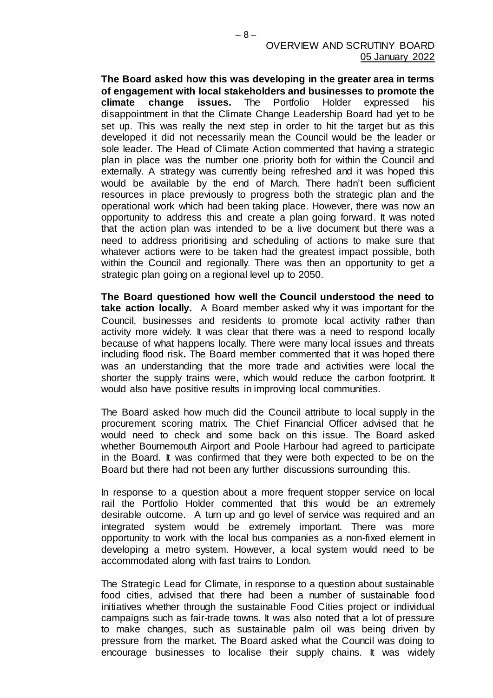**The Board asked how this was developing in the greater area in terms of engagement with local stakeholders and businesses to promote the climate change issues.** The Portfolio Holder expressed his disappointment in that the Climate Change Leadership Board had yet to be set up. This was really the next step in order to hit the target but as this developed it did not necessarily mean the Council would be the leader or sole leader. The Head of Climate Action commented that having a strategic plan in place was the number one priority both for within the Council and externally. A strategy was currently being refreshed and it was hoped this would be available by the end of March. There hadn't been sufficient resources in place previously to progress both the strategic plan and the operational work which had been taking place. However, there was now an opportunity to address this and create a plan going forward. It was noted that the action plan was intended to be a live document but there was a need to address prioritising and scheduling of actions to make sure that whatever actions were to be taken had the greatest impact possible, both within the Council and regionally. There was then an opportunity to get a strategic plan going on a regional level up to 2050.

**The Board questioned how well the Council understood the need to take action locally.** A Board member asked why it was important for the Council, businesses and residents to promote local activity rather than activity more widely. It was clear that there was a need to respond locally because of what happens locally. There were many local issues and threats including flood risk**.** The Board member commented that it was hoped there was an understanding that the more trade and activities were local the shorter the supply trains were, which would reduce the carbon footprint. It would also have positive results in improving local communities.

The Board asked how much did the Council attribute to local supply in the procurement scoring matrix. The Chief Financial Officer advised that he would need to check and some back on this issue. The Board asked whether Bournemouth Airport and Poole Harbour had agreed to participate in the Board. It was confirmed that they were both expected to be on the Board but there had not been any further discussions surrounding this.

In response to a question about a more frequent stopper service on local rail the Portfolio Holder commented that this would be an extremely desirable outcome. A turn up and go level of service was required and an integrated system would be extremely important. There was more opportunity to work with the local bus companies as a non-fixed element in developing a metro system. However, a local system would need to be accommodated along with fast trains to London.

The Strategic Lead for Climate, in response to a question about sustainable food cities, advised that there had been a number of sustainable food initiatives whether through the sustainable Food Cities project or individual campaigns such as fair-trade towns. It was also noted that a lot of pressure to make changes, such as sustainable palm oil was being driven by pressure from the market. The Board asked what the Council was doing to encourage businesses to localise their supply chains. It was widely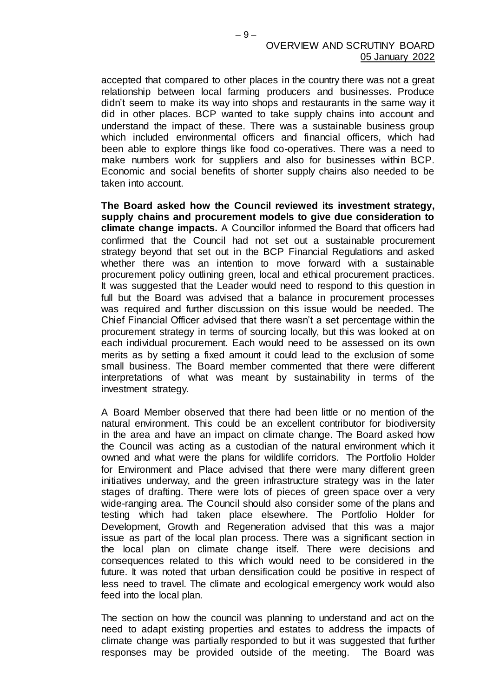accepted that compared to other places in the country there was not a great relationship between local farming producers and businesses. Produce didn't seem to make its way into shops and restaurants in the same way it did in other places. BCP wanted to take supply chains into account and understand the impact of these. There was a sustainable business group which included environmental officers and financial officers, which had been able to explore things like food co-operatives. There was a need to make numbers work for suppliers and also for businesses within BCP. Economic and social benefits of shorter supply chains also needed to be taken into account.

**The Board asked how the Council reviewed its investment strategy, supply chains and procurement models to give due consideration to climate change impacts.** A Councillor informed the Board that officers had confirmed that the Council had not set out a sustainable procurement strategy beyond that set out in the BCP Financial Regulations and asked whether there was an intention to move forward with a sustainable procurement policy outlining green, local and ethical procurement practices. It was suggested that the Leader would need to respond to this question in full but the Board was advised that a balance in procurement processes was required and further discussion on this issue would be needed. The Chief Financial Officer advised that there wasn't a set percentage within the procurement strategy in terms of sourcing locally, but this was looked at on each individual procurement. Each would need to be assessed on its own merits as by setting a fixed amount it could lead to the exclusion of some small business. The Board member commented that there were different interpretations of what was meant by sustainability in terms of the investment strategy.

A Board Member observed that there had been little or no mention of the natural environment. This could be an excellent contributor for biodiversity in the area and have an impact on climate change. The Board asked how the Council was acting as a custodian of the natural environment which it owned and what were the plans for wildlife corridors. The Portfolio Holder for Environment and Place advised that there were many different green initiatives underway, and the green infrastructure strategy was in the later stages of drafting. There were lots of pieces of green space over a very wide-ranging area. The Council should also consider some of the plans and testing which had taken place elsewhere. The Portfolio Holder for Development, Growth and Regeneration advised that this was a major issue as part of the local plan process. There was a significant section in the local plan on climate change itself. There were decisions and consequences related to this which would need to be considered in the future. It was noted that urban densification could be positive in respect of less need to travel. The climate and ecological emergency work would also feed into the local plan.

The section on how the council was planning to understand and act on the need to adapt existing properties and estates to address the impacts of climate change was partially responded to but it was suggested that further responses may be provided outside of the meeting. The Board was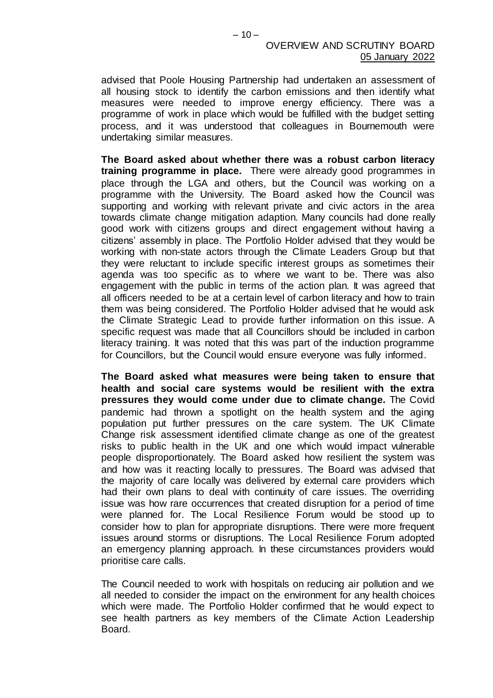advised that Poole Housing Partnership had undertaken an assessment of all housing stock to identify the carbon emissions and then identify what measures were needed to improve energy efficiency. There was a programme of work in place which would be fulfilled with the budget setting process, and it was understood that colleagues in Bournemouth were undertaking similar measures.

**The Board asked about whether there was a robust carbon literacy training programme in place.** There were already good programmes in place through the LGA and others, but the Council was working on a programme with the University. The Board asked how the Council was supporting and working with relevant private and civic actors in the area towards climate change mitigation adaption. Many councils had done really good work with citizens groups and direct engagement without having a citizens' assembly in place. The Portfolio Holder advised that they would be working with non-state actors through the Climate Leaders Group but that they were reluctant to include specific interest groups as sometimes their agenda was too specific as to where we want to be. There was also engagement with the public in terms of the action plan. It was agreed that all officers needed to be at a certain level of carbon literacy and how to train them was being considered. The Portfolio Holder advised that he would ask the Climate Strategic Lead to provide further information on this issue. A specific request was made that all Councillors should be included in carbon literacy training. It was noted that this was part of the induction programme for Councillors, but the Council would ensure everyone was fully informed.

**The Board asked what measures were being taken to ensure that health and social care systems would be resilient with the extra pressures they would come under due to climate change.** The Covid pandemic had thrown a spotlight on the health system and the aging population put further pressures on the care system. The UK Climate Change risk assessment identified climate change as one of the greatest risks to public health in the UK and one which would impact vulnerable people disproportionately. The Board asked how resilient the system was and how was it reacting locally to pressures. The Board was advised that the majority of care locally was delivered by external care providers which had their own plans to deal with continuity of care issues. The overriding issue was how rare occurrences that created disruption for a period of time were planned for. The Local Resilience Forum would be stood up to consider how to plan for appropriate disruptions. There were more frequent issues around storms or disruptions. The Local Resilience Forum adopted an emergency planning approach. In these circumstances providers would prioritise care calls.

The Council needed to work with hospitals on reducing air pollution and we all needed to consider the impact on the environment for any health choices which were made. The Portfolio Holder confirmed that he would expect to see health partners as key members of the Climate Action Leadership Board.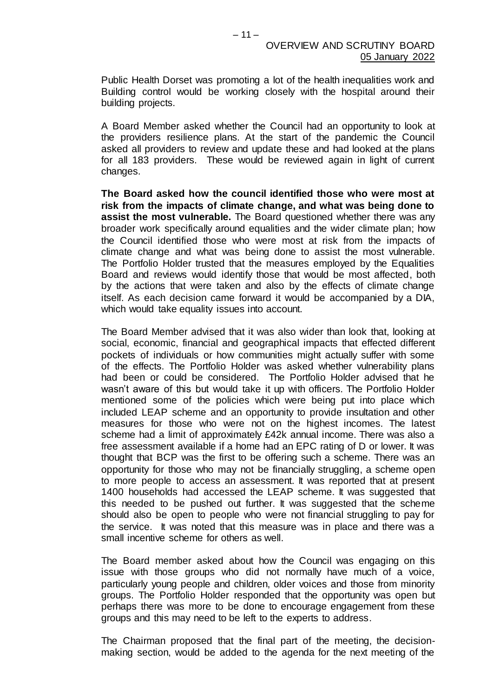Public Health Dorset was promoting a lot of the health inequalities work and Building control would be working closely with the hospital around their building projects.

A Board Member asked whether the Council had an opportunity to look at the providers resilience plans. At the start of the pandemic the Council asked all providers to review and update these and had looked at the plans for all 183 providers. These would be reviewed again in light of current changes.

**The Board asked how the council identified those who were most at risk from the impacts of climate change, and what was being done to assist the most vulnerable.** The Board questioned whether there was any broader work specifically around equalities and the wider climate plan; how the Council identified those who were most at risk from the impacts of climate change and what was being done to assist the most vulnerable. The Portfolio Holder trusted that the measures employed by the Equalities Board and reviews would identify those that would be most affected, both by the actions that were taken and also by the effects of climate change itself. As each decision came forward it would be accompanied by a DIA, which would take equality issues into account.

The Board Member advised that it was also wider than look that, looking at social, economic, financial and geographical impacts that effected different pockets of individuals or how communities might actually suffer with some of the effects. The Portfolio Holder was asked whether vulnerability plans had been or could be considered. The Portfolio Holder advised that he wasn't aware of this but would take it up with officers. The Portfolio Holder mentioned some of the policies which were being put into place which included LEAP scheme and an opportunity to provide insultation and other measures for those who were not on the highest incomes. The latest scheme had a limit of approximately £42k annual income. There was also a free assessment available if a home had an EPC rating of D or lower. It was thought that BCP was the first to be offering such a scheme. There was an opportunity for those who may not be financially struggling, a scheme open to more people to access an assessment. It was reported that at present 1400 households had accessed the LEAP scheme. It was suggested that this needed to be pushed out further. It was suggested that the scheme should also be open to people who were not financial struggling to pay for the service. It was noted that this measure was in place and there was a small incentive scheme for others as well.

The Board member asked about how the Council was engaging on this issue with those groups who did not normally have much of a voice, particularly young people and children, older voices and those from minority groups. The Portfolio Holder responded that the opportunity was open but perhaps there was more to be done to encourage engagement from these groups and this may need to be left to the experts to address.

The Chairman proposed that the final part of the meeting, the decisionmaking section, would be added to the agenda for the next meeting of the